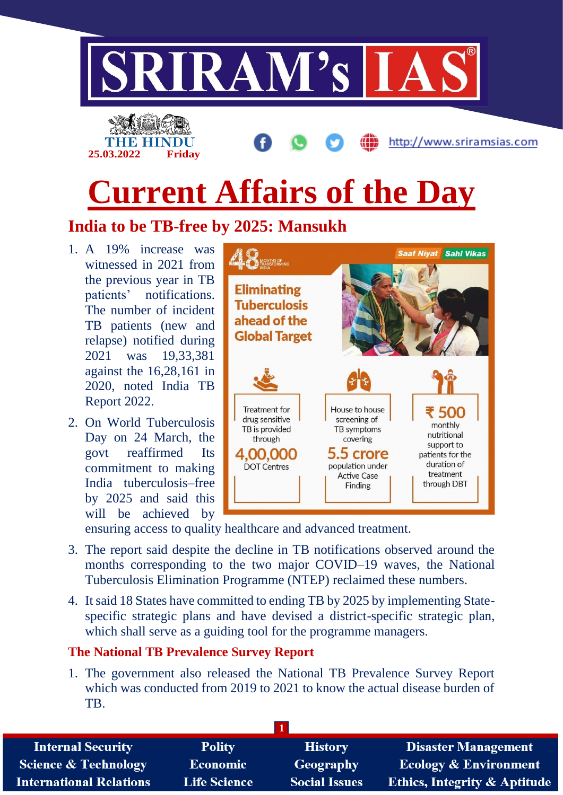

- patients' notifications. The number of incident TB patients (new and relapse) notified during 2021 was 19,33,381 against the 16,28,161 in 2020, noted India TB Report 2022.
- 2. On World Tuberculosis Day on 24 March, the govt reaffirmed Its commitment to making India tuberculosis–free by 2025 and said this will be achieved by



ensuring access to quality healthcare and advanced treatment.

- 3. The report said despite the decline in TB notifications observed around the months corresponding to the two major COVID–19 waves, the National Tuberculosis Elimination Programme (NTEP) reclaimed these numbers.
- 4. It said 18 States have committed to ending TB by 2025 by implementing Statespecific strategic plans and have devised a district-specific strategic plan, which shall serve as a guiding tool for the programme managers.

### **The National TB Prevalence Survey Report**

1. The government also released the National TB Prevalence Survey Report which was conducted from 2019 to 2021 to know the actual disease burden of TB.

| <b>Internal Security</b>        | <b>Polity</b>       | <b>History</b>       | <b>Disaster Management</b>              |
|---------------------------------|---------------------|----------------------|-----------------------------------------|
| <b>Science &amp; Technology</b> | Economic            | <b>Geography</b>     | <b>Ecology &amp; Environment</b>        |
| <b>International Relations</b>  | <b>Life Science</b> | <b>Social Issues</b> | <b>Ethics, Integrity &amp; Aptitude</b> |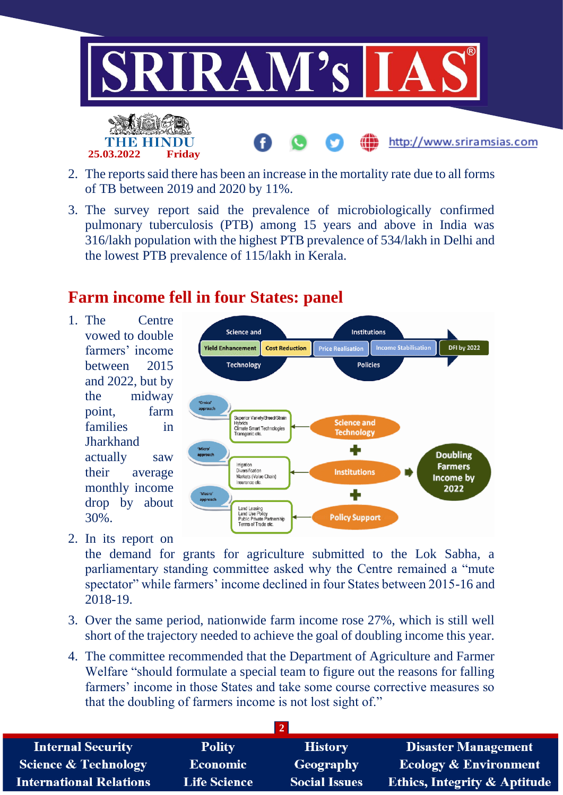

- 2. The reports said there has been an increase in the mortality rate due to all forms of TB between 2019 and 2020 by 11%.
- 3. The survey report said the prevalence of microbiologically confirmed pulmonary tuberculosis (PTB) among 15 years and above in India was 316/lakh population with the highest PTB prevalence of 534/lakh in Delhi and the lowest PTB prevalence of 115/lakh in Kerala.

## **Farm income fell in four States: panel**

1. The Centre vowed to double farmers' income between 2015 and 2022, but by the midway point, farm families in Jharkhand actually saw their average monthly income drop by about 30%.

**25.03.2022 Friday**



2. In its report on

the demand for grants for agriculture submitted to the Lok Sabha, a parliamentary standing committee asked why the Centre remained a "mute spectator" while farmers' income declined in four States between 2015-16 and 2018-19.

- 3. Over the same period, nationwide farm income rose 27%, which is still well short of the trajectory needed to achieve the goal of doubling income this year.
- 4. The committee recommended that the Department of Agriculture and Farmer Welfare "should formulate a special team to figure out the reasons for falling farmers' income in those States and take some course corrective measures so that the doubling of farmers income is not lost sight of."

| <b>Internal Security</b>        | <b>Polity</b>       | <b>History</b>       | Disaster Management                     |
|---------------------------------|---------------------|----------------------|-----------------------------------------|
| <b>Science &amp; Technology</b> | <b>Economic</b>     | Geography            | <b>Ecology &amp; Environment</b>        |
| <b>International Relations</b>  | <b>Life Science</b> | <b>Social Issues</b> | <b>Ethics, Integrity &amp; Aptitude</b> |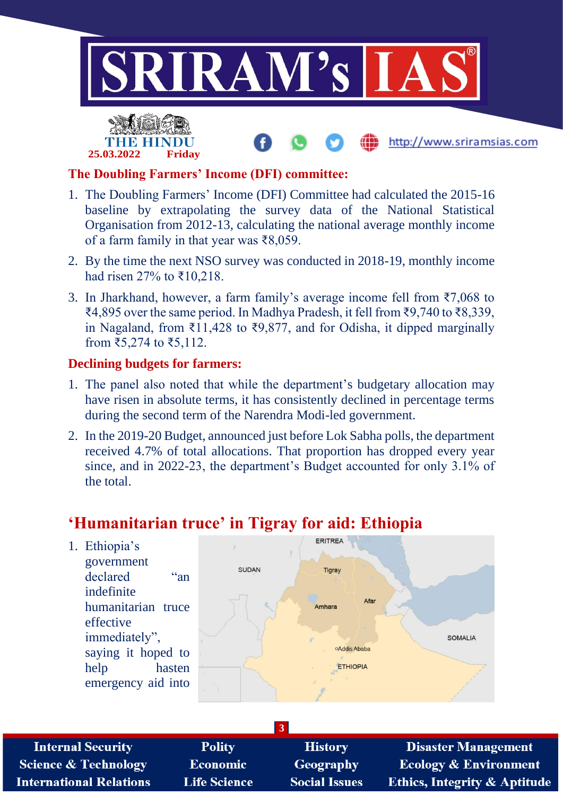

http://www.sriramsias.com



### **The Doubling Farmers' Income (DFI) committee:**

- 1. The Doubling Farmers' Income (DFI) Committee had calculated the 2015-16 baseline by extrapolating the survey data of the National Statistical Organisation from 2012-13, calculating the national average monthly income of a farm family in that year was ₹8,059.
- 2. By the time the next NSO survey was conducted in 2018-19, monthly income had risen 27% to ₹10,218.
- 3. In Jharkhand, however, a farm family's average income fell from ₹7,068 to ₹4,895 over the same period. In Madhya Pradesh, it fell from ₹9,740 to ₹8,339, in Nagaland, from ₹11,428 to ₹9,877, and for Odisha, it dipped marginally from ₹5,274 to ₹5,112.

### **Declining budgets for farmers:**

- 1. The panel also noted that while the department's budgetary allocation may have risen in absolute terms, it has consistently declined in percentage terms during the second term of the Narendra Modi-led government.
- 2. In the 2019-20 Budget, announced just before Lok Sabha polls, the department received 4.7% of total allocations. That proportion has dropped every year since, and in 2022-23, the department's Budget accounted for only 3.1% of the total.

# **'Humanitarian truce' in Tigray for aid: Ethiopia**



| <b>Internal Security</b>        | <b>Polity</b>       | <b>History</b>       | <b>Disaster Management</b>              |
|---------------------------------|---------------------|----------------------|-----------------------------------------|
| <b>Science &amp; Technology</b> | <b>Economic</b>     | Geography            | <b>Ecology &amp; Environment</b>        |
| <b>International Relations</b>  | <b>Life Science</b> | <b>Social Issues</b> | <b>Ethics, Integrity &amp; Aptitude</b> |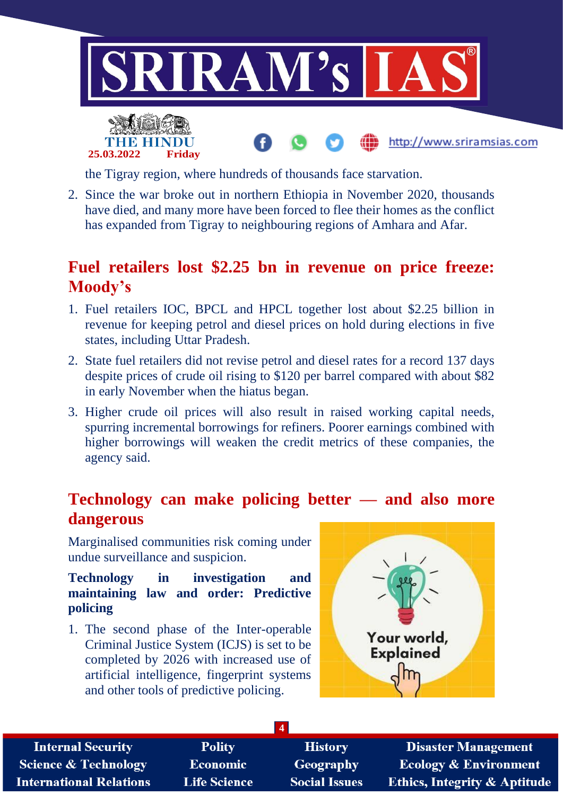



the Tigray region, where hundreds of thousands face starvation.

2. Since the war broke out in northern Ethiopia in November 2020, thousands have died, and many more have been forced to flee their homes as the conflict has expanded from Tigray to neighbouring regions of Amhara and Afar.

# **Fuel retailers lost \$2.25 bn in revenue on price freeze: Moody's**

- 1. Fuel retailers IOC, BPCL and HPCL together lost about \$2.25 billion in revenue for keeping petrol and diesel prices on hold during elections in five states, including Uttar Pradesh.
- 2. State fuel retailers did not revise petrol and diesel rates for a record 137 days despite prices of crude oil rising to \$120 per barrel compared with about \$82 in early November when the hiatus began.
- 3. Higher crude oil prices will also result in raised working capital needs, spurring incremental borrowings for refiners. Poorer earnings combined with higher borrowings will weaken the credit metrics of these companies, the agency said.

# **Technology can make policing better — and also more dangerous**

Marginalised communities risk coming under undue surveillance and suspicion.

#### **Technology in investigation and maintaining law and order: Predictive policing**

1. The second phase of the Inter-operable Criminal Justice System (ICJS) is set to be completed by 2026 with increased use of artificial intelligence, fingerprint systems and other tools of predictive policing.



http://www.sriramsias.com

| <b>Internal Security</b>        | <b>Polity</b>       | <b>History</b>       | <b>Disaster Management</b>              |
|---------------------------------|---------------------|----------------------|-----------------------------------------|
| <b>Science &amp; Technology</b> | <b>Economic</b>     | Geography            | <b>Ecology &amp; Environment</b>        |
| <b>International Relations</b>  | <b>Life Science</b> | <b>Social Issues</b> | <b>Ethics, Integrity &amp; Aptitude</b> |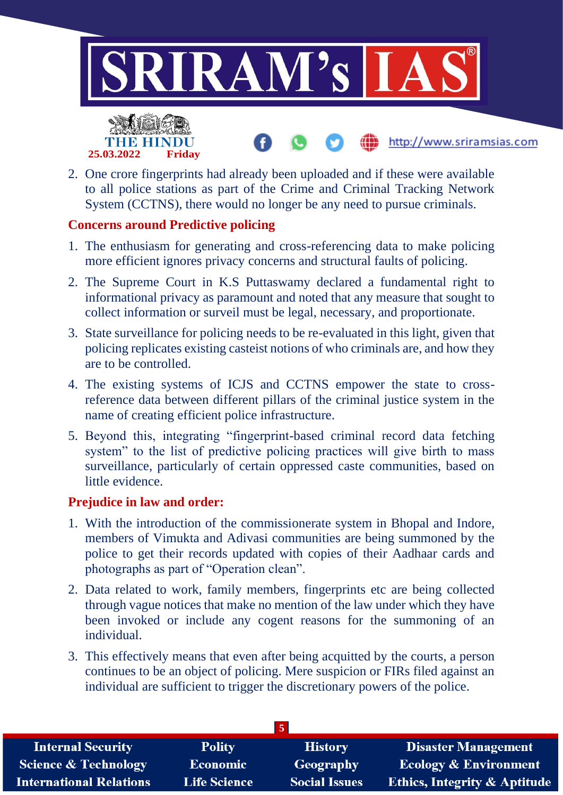

http://www.sriramsias.com



2. One crore fingerprints had already been uploaded and if these were available to all police stations as part of the Crime and Criminal Tracking Network System (CCTNS), there would no longer be any need to pursue criminals.

## **Concerns around Predictive policing**

- 1. The enthusiasm for generating and cross-referencing data to make policing more efficient ignores privacy concerns and structural faults of policing.
- 2. The Supreme Court in K.S Puttaswamy declared a fundamental right to informational privacy as paramount and noted that any measure that sought to collect information or surveil must be legal, necessary, and proportionate.
- 3. State surveillance for policing needs to be re-evaluated in this light, given that policing replicates existing casteist notions of who criminals are, and how they are to be controlled.
- 4. The existing systems of ICJS and CCTNS empower the state to crossreference data between different pillars of the criminal justice system in the name of creating efficient police infrastructure.
- 5. Beyond this, integrating "fingerprint-based criminal record data fetching system" to the list of predictive policing practices will give birth to mass surveillance, particularly of certain oppressed caste communities, based on little evidence.

### **Prejudice in law and order:**

- 1. With the introduction of the commissionerate system in Bhopal and Indore, members of Vimukta and Adivasi communities are being summoned by the police to get their records updated with copies of their Aadhaar cards and photographs as part of "Operation clean".
- 2. Data related to work, family members, fingerprints etc are being collected through vague notices that make no mention of the law under which they have been invoked or include any cogent reasons for the summoning of an individual.
- 3. This effectively means that even after being acquitted by the courts, a person continues to be an object of policing. Mere suspicion or FIRs filed against an individual are sufficient to trigger the discretionary powers of the police.

| <b>Internal Security</b>        | <b>Polity</b>       | <b>History</b>       | <b>Disaster Management</b>              |
|---------------------------------|---------------------|----------------------|-----------------------------------------|
| <b>Science &amp; Technology</b> | <b>Economic</b>     | Geography            | <b>Ecology &amp; Environment</b>        |
| <b>International Relations</b>  | <b>Life Science</b> | <b>Social Issues</b> | <b>Ethics, Integrity &amp; Aptitude</b> |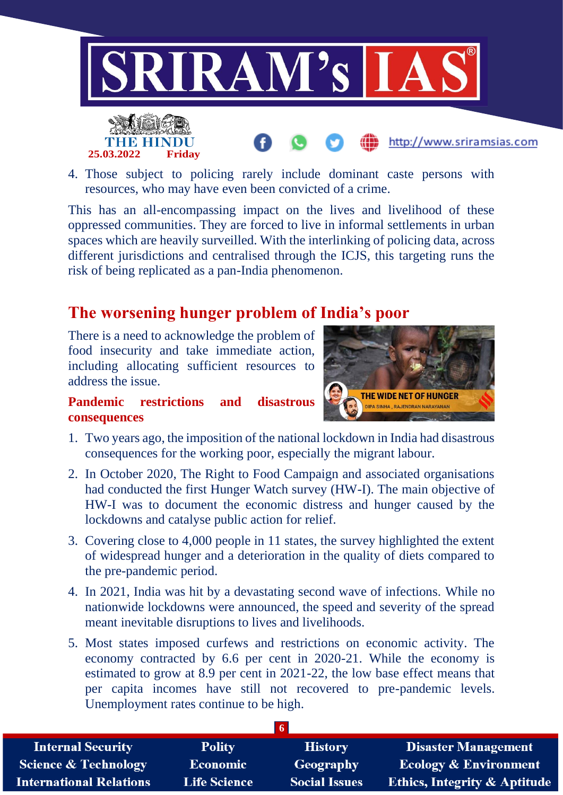

4. Those subject to policing rarely include dominant caste persons with resources, who may have even been convicted of a crime.

This has an all-encompassing impact on the lives and livelihood of these oppressed communities. They are forced to live in informal settlements in urban spaces which are heavily surveilled. With the interlinking of policing data, across different jurisdictions and centralised through the ICJS, this targeting runs the risk of being replicated as a pan-India phenomenon.

# **The worsening hunger problem of India's poor**

There is a need to acknowledge the problem of food insecurity and take immediate action, including allocating sufficient resources to address the issue.

#### **Pandemic restrictions and disastrous consequences**



- 1. Two years ago, the imposition of the national lockdown in India had disastrous consequences for the working poor, especially the migrant labour.
- 2. In October 2020, The Right to Food Campaign and associated organisations had conducted the first Hunger Watch survey (HW-I). The main objective of HW-I was to document the economic distress and hunger caused by the lockdowns and catalyse public action for relief.
- 3. Covering close to 4,000 people in 11 states, the survey highlighted the extent of widespread hunger and a deterioration in the quality of diets compared to the pre-pandemic period.
- 4. In 2021, India was hit by a devastating second wave of infections. While no nationwide lockdowns were announced, the speed and severity of the spread meant inevitable disruptions to lives and livelihoods.
- 5. Most states imposed curfews and restrictions on economic activity. The economy contracted by 6.6 per cent in 2020-21. While the economy is estimated to grow at 8.9 per cent in 2021-22, the low base effect means that per capita incomes have still not recovered to pre-pandemic levels. Unemployment rates continue to be high.

|                                 |                     | -6                   |                                         |
|---------------------------------|---------------------|----------------------|-----------------------------------------|
| <b>Internal Security</b>        | <b>Polity</b>       | <b>History</b>       | <b>Disaster Management</b>              |
| <b>Science &amp; Technology</b> | <b>Economic</b>     | <b>Geography</b>     | <b>Ecology &amp; Environment</b>        |
| <b>International Relations</b>  | <b>Life Science</b> | <b>Social Issues</b> | <b>Ethics, Integrity &amp; Aptitude</b> |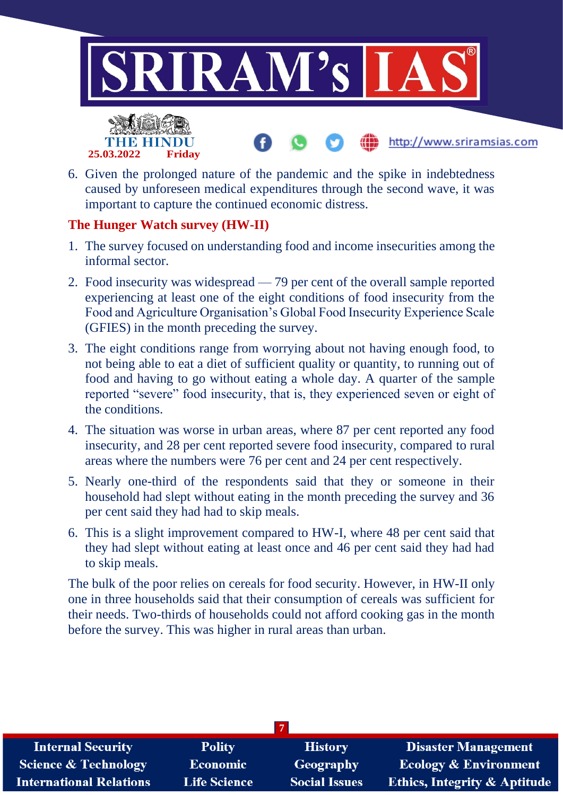

6. Given the prolonged nature of the pandemic and the spike in indebtedness caused by unforeseen medical expenditures through the second wave, it was important to capture the continued economic distress.

### **The Hunger Watch survey (HW-II)**

**25.03.2022 Friday**

- 1. The survey focused on understanding food and income insecurities among the informal sector.
- 2. Food insecurity was widespread 79 per cent of the overall sample reported experiencing at least one of the eight conditions of food insecurity from the Food and Agriculture Organisation's Global Food Insecurity Experience Scale (GFIES) in the month preceding the survey.
- 3. The eight conditions range from worrying about not having enough food, to not being able to eat a diet of sufficient quality or quantity, to running out of food and having to go without eating a whole day. A quarter of the sample reported "severe" food insecurity, that is, they experienced seven or eight of the conditions.
- 4. The situation was worse in urban areas, where 87 per cent reported any food insecurity, and 28 per cent reported severe food insecurity, compared to rural areas where the numbers were 76 per cent and 24 per cent respectively.
- 5. Nearly one-third of the respondents said that they or someone in their household had slept without eating in the month preceding the survey and 36 per cent said they had had to skip meals.
- 6. This is a slight improvement compared to HW-I, where 48 per cent said that they had slept without eating at least once and 46 per cent said they had had to skip meals.

The bulk of the poor relies on cereals for food security. However, in HW-II only one in three households said that their consumption of cereals was sufficient for their needs. Two-thirds of households could not afford cooking gas in the month before the survey. This was higher in rural areas than urban.

| <b>Internal Security</b>        | <b>Polity</b>       | <b>History</b>       | <b>Disaster Management</b>              |  |
|---------------------------------|---------------------|----------------------|-----------------------------------------|--|
| <b>Science &amp; Technology</b> | <b>Economic</b>     | Geography            | <b>Ecology &amp; Environment</b>        |  |
| <b>International Relations</b>  | <b>Life Science</b> | <b>Social Issues</b> | <b>Ethics, Integrity &amp; Aptitude</b> |  |